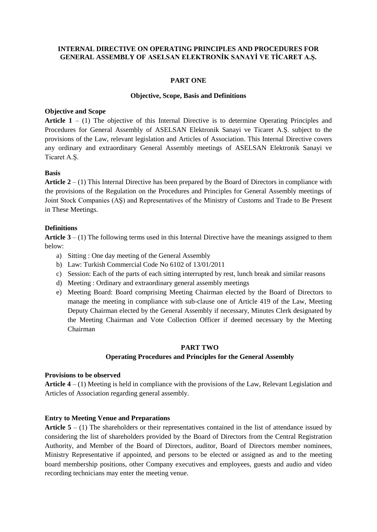## **INTERNAL DIRECTIVE ON OPERATING PRINCIPLES AND PROCEDURES FOR GENERAL ASSEMBLY OF ASELSAN ELEKTRONİK SANAYİ VE TİCARET A.Ş.**

### **PART ONE**

#### **Objective, Scope, Basis and Definitions**

### **Objective and Scope**

Article 1 – (1) The objective of this Internal Directive is to determine Operating Principles and Procedures for General Assembly of ASELSAN Elektronik Sanayi ve Ticaret A.Ş. subject to the provisions of the Law, relevant legislation and Articles of Association. This Internal Directive covers any ordinary and extraordinary General Assembly meetings of ASELSAN Elektronik Sanayi ve Ticaret A.Ş.

## **Basis**

**Article 2** – (1) This Internal Directive has been prepared by the Board of Directors in compliance with the provisions of the Regulation on the Procedures and Principles for General Assembly meetings of Joint Stock Companies (AŞ) and Representatives of the Ministry of Customs and Trade to Be Present in These Meetings.

## **Definitions**

**Article 3** – (1) The following terms used in this Internal Directive have the meanings assigned to them below:

- a) Sitting : One day meeting of the General Assembly
- b) Law: Turkish Commercial Code No 6102 of 13/01/2011
- c) Session: Each of the parts of each sitting interrupted by rest, lunch break and similar reasons
- d) Meeting : Ordinary and extraordinary general assembly meetings
- e) Meeting Board: Board comprising Meeting Chairman elected by the Board of Directors to manage the meeting in compliance with sub-clause one of Article 419 of the Law, Meeting Deputy Chairman elected by the General Assembly if necessary, Minutes Clerk designated by the Meeting Chairman and Vote Collection Officer if deemed necessary by the Meeting Chairman

### **PART TWO**

### **Operating Procedures and Principles for the General Assembly**

### **Provisions to be observed**

**Article 4** – (1) Meeting is held in compliance with the provisions of the Law, Relevant Legislation and Articles of Association regarding general assembly.

### **Entry to Meeting Venue and Preparations**

**Article 5** – (1) The shareholders or their representatives contained in the list of attendance issued by considering the list of shareholders provided by the Board of Directors from the Central Registration Authority, and Member of the Board of Directors, auditor, Board of Directors member nominees, Ministry Representative if appointed, and persons to be elected or assigned as and to the meeting board membership positions, other Company executives and employees, guests and audio and video recording technicians may enter the meeting venue.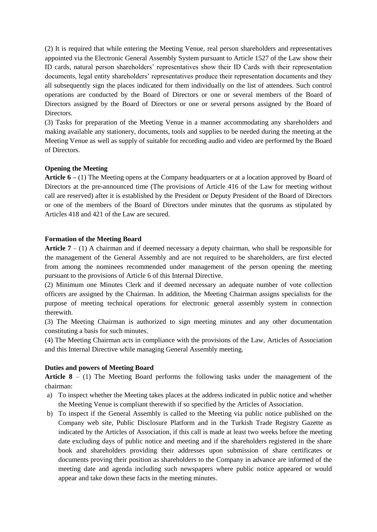(2) It is required that while entering the Meeting Venue, real person shareholders and representatives appointed via the Electronic General Assembly System pursuant to Article 1527 of the Law show their ID cards, natural person shareholders' representatives show their ID Cards with their representation documents, legal entity shareholders' representatives produce their representation documents and they all subsequently sign the places indicated for them individually on the list of attendees. Such control operations are conducted by the Board of Directors or one or several members of the Board of Directors assigned by the Board of Directors or one or several persons assigned by the Board of Directors.

(3) Tasks for preparation of the Meeting Venue in a manner accommodating any shareholders and making available any stationery, documents, tools and supplies to be needed during the meeting at the Meeting Venue as well as supply of suitable for recording audio and video are performed by the Board of Directors.

### **Opening the Meeting**

**Article 6 –** (1) The Meeting opens at the Company headquarters or at a location approved by Board of Directors at the pre-announced time (The provisions of Article 416 of the Law for meeting without call are reserved) after it is established by the President or Deputy President of the Board of Directors or one of the members of the Board of Directors under minutes that the quorums as stipulated by Articles 418 and 421 of the Law are secured.

### **Formation of the Meeting Board**

**Article 7** – (1) A chairman and if deemed necessary a deputy chairman, who shall be responsible for the management of the General Assembly and are not required to be shareholders, are first elected from among the nominees recommended under management of the person opening the meeting pursuant to the provisions of Article 6 of this Internal Directive.

(2) Minimum one Minutes Clerk and if deemed necessary an adequate number of vote collection officers are assigned by the Chairman. In addition, the Meeting Chairman assigns specialists for the purpose of meeting technical operations for electronic general assembly system in connection therewith.

(3) The Meeting Chairman is authorized to sign meeting minutes and any other documentation constituting a basis for such minutes.

(4) The Meeting Chairman acts in compliance with the provisions of the Law, Articles of Association and this Internal Directive while managing General Assembly meeting.

### **Duties and powers of Meeting Board**

**Article 8** – (1) The Meeting Board performs the following tasks under the management of the chairman:

- a) To inspect whether the Meeting takes places at the address indicated in public notice and whether the Meeting Venue is compliant therewith if so specified by the Articles of Association.
- b) To inspect if the General Assembly is called to the Meeting via public notice published on the Company web site, Public Disclosure Platform and in the Turkish Trade Registry Gazette as indicated by the Articles of Association, if this call is made at least two weeks before the meeting date excluding days of public notice and meeting and if the shareholders registered in the share book and shareholders providing their addresses upon submission of share certificates or documents proving their position as shareholders to the Company in advance are informed of the meeting date and agenda including such newspapers where public notice appeared or would appear and take down these facts in the meeting minutes.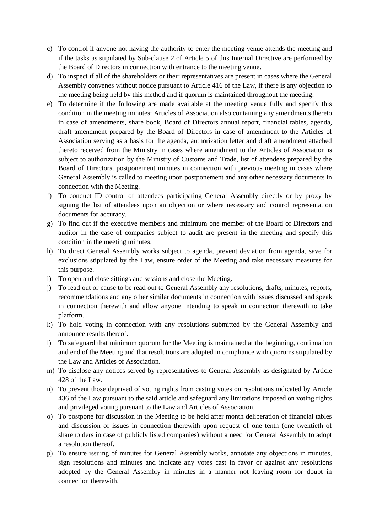- c) To control if anyone not having the authority to enter the meeting venue attends the meeting and if the tasks as stipulated by Sub-clause 2 of Article 5 of this Internal Directive are performed by the Board of Directors in connection with entrance to the meeting venue.
- d) To inspect if all of the shareholders or their representatives are present in cases where the General Assembly convenes without notice pursuant to Article 416 of the Law, if there is any objection to the meeting being held by this method and if quorum is maintained throughout the meeting.
- e) To determine if the following are made available at the meeting venue fully and specify this condition in the meeting minutes: Articles of Association also containing any amendments thereto in case of amendments, share book, Board of Directors annual report, financial tables, agenda, draft amendment prepared by the Board of Directors in case of amendment to the Articles of Association serving as a basis for the agenda, authorization letter and draft amendment attached thereto received from the Ministry in cases where amendment to the Articles of Association is subject to authorization by the Ministry of Customs and Trade, list of attendees prepared by the Board of Directors, postponement minutes in connection with previous meeting in cases where General Assembly is called to meeting upon postponement and any other necessary documents in connection with the Meeting.
- f) To conduct ID control of attendees participating General Assembly directly or by proxy by signing the list of attendees upon an objection or where necessary and control representation documents for accuracy.
- g) To find out if the executive members and minimum one member of the Board of Directors and auditor in the case of companies subject to audit are present in the meeting and specify this condition in the meeting minutes.
- h) To direct General Assembly works subject to agenda, prevent deviation from agenda, save for exclusions stipulated by the Law, ensure order of the Meeting and take necessary measures for this purpose.
- i) To open and close sittings and sessions and close the Meeting.
- j) To read out or cause to be read out to General Assembly any resolutions, drafts, minutes, reports, recommendations and any other similar documents in connection with issues discussed and speak in connection therewith and allow anyone intending to speak in connection therewith to take platform.
- k) To hold voting in connection with any resolutions submitted by the General Assembly and announce results thereof.
- l) To safeguard that minimum quorum for the Meeting is maintained at the beginning, continuation and end of the Meeting and that resolutions are adopted in compliance with quorums stipulated by the Law and Articles of Association.
- m) To disclose any notices served by representatives to General Assembly as designated by Article 428 of the Law.
- n) To prevent those deprived of voting rights from casting votes on resolutions indicated by Article 436 of the Law pursuant to the said article and safeguard any limitations imposed on voting rights and privileged voting pursuant to the Law and Articles of Association.
- o) To postpone for discussion in the Meeting to be held after month deliberation of financial tables and discussion of issues in connection therewith upon request of one tenth (one twentieth of shareholders in case of publicly listed companies) without a need for General Assembly to adopt a resolution thereof.
- p) To ensure issuing of minutes for General Assembly works, annotate any objections in minutes, sign resolutions and minutes and indicate any votes cast in favor or against any resolutions adopted by the General Assembly in minutes in a manner not leaving room for doubt in connection therewith.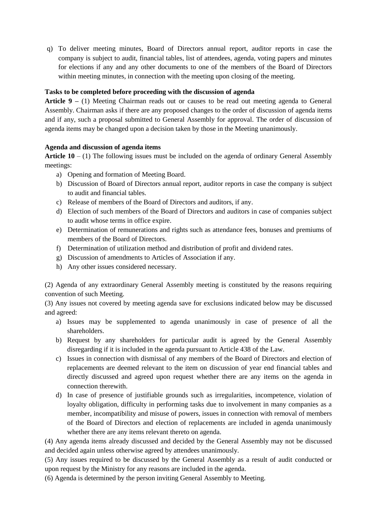q) To deliver meeting minutes, Board of Directors annual report, auditor reports in case the company is subject to audit, financial tables, list of attendees, agenda, voting papers and minutes for elections if any and any other documents to one of the members of the Board of Directors within meeting minutes, in connection with the meeting upon closing of the meeting.

# **Tasks to be completed before proceeding with the discussion of agenda**

**Article 9 –** (1) Meeting Chairman reads out or causes to be read out meeting agenda to General Assembly. Chairman asks if there are any proposed changes to the order of discussion of agenda items and if any, such a proposal submitted to General Assembly for approval. The order of discussion of agenda items may be changed upon a decision taken by those in the Meeting unanimously.

## **Agenda and discussion of agenda items**

Article 10 – (1) The following issues must be included on the agenda of ordinary General Assembly meetings:

- a) Opening and formation of Meeting Board.
- b) Discussion of Board of Directors annual report, auditor reports in case the company is subject to audit and financial tables.
- c) Release of members of the Board of Directors and auditors, if any.
- d) Election of such members of the Board of Directors and auditors in case of companies subject to audit whose terms in office expire.
- e) Determination of remunerations and rights such as attendance fees, bonuses and premiums of members of the Board of Directors.
- f) Determination of utilization method and distribution of profit and dividend rates.
- g) Discussion of amendments to Articles of Association if any.
- h) Any other issues considered necessary.

(2) Agenda of any extraordinary General Assembly meeting is constituted by the reasons requiring convention of such Meeting.

(3) Any issues not covered by meeting agenda save for exclusions indicated below may be discussed and agreed:

- a) Issues may be supplemented to agenda unanimously in case of presence of all the shareholders.
- b) Request by any shareholders for particular audit is agreed by the General Assembly disregarding if it is included in the agenda pursuant to Article 438 of the Law.
- c) Issues in connection with dismissal of any members of the Board of Directors and election of replacements are deemed relevant to the item on discussion of year end financial tables and directly discussed and agreed upon request whether there are any items on the agenda in connection therewith.
- d) In case of presence of justifiable grounds such as irregularities, incompetence, violation of loyalty obligation, difficulty in performing tasks due to involvement in many companies as a member, incompatibility and misuse of powers, issues in connection with removal of members of the Board of Directors and election of replacements are included in agenda unanimously whether there are any items relevant thereto on agenda.

(4) Any agenda items already discussed and decided by the General Assembly may not be discussed and decided again unless otherwise agreed by attendees unanimously.

(5) Any issues required to be discussed by the General Assembly as a result of audit conducted or upon request by the Ministry for any reasons are included in the agenda.

(6) Agenda is determined by the person inviting General Assembly to Meeting.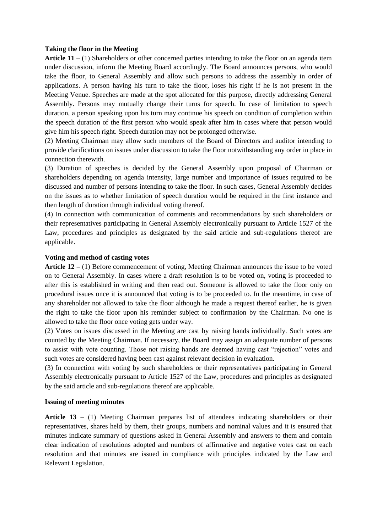### **Taking the floor in the Meeting**

**Article 11** – (1) Shareholders or other concerned parties intending to take the floor on an agenda item under discussion, inform the Meeting Board accordingly. The Board announces persons, who would take the floor, to General Assembly and allow such persons to address the assembly in order of applications. A person having his turn to take the floor, loses his right if he is not present in the Meeting Venue. Speeches are made at the spot allocated for this purpose, directly addressing General Assembly. Persons may mutually change their turns for speech. In case of limitation to speech duration, a person speaking upon his turn may continue his speech on condition of completion within the speech duration of the first person who would speak after him in cases where that person would give him his speech right. Speech duration may not be prolonged otherwise.

(2) Meeting Chairman may allow such members of the Board of Directors and auditor intending to provide clarifications on issues under discussion to take the floor notwithstanding any order in place in connection therewith.

(3) Duration of speeches is decided by the General Assembly upon proposal of Chairman or shareholders depending on agenda intensity, large number and importance of issues required to be discussed and number of persons intending to take the floor. In such cases, General Assembly decides on the issues as to whether limitation of speech duration would be required in the first instance and then length of duration through individual voting thereof.

(4) In connection with communication of comments and recommendations by such shareholders or their representatives participating in General Assembly electronically pursuant to Article 1527 of the Law, procedures and principles as designated by the said article and sub-regulations thereof are applicable.

### **Voting and method of casting votes**

**Article 12 –** (1) Before commencement of voting, Meeting Chairman announces the issue to be voted on to General Assembly. In cases where a draft resolution is to be voted on, voting is proceeded to after this is established in writing and then read out. Someone is allowed to take the floor only on procedural issues once it is announced that voting is to be proceeded to. In the meantime, in case of any shareholder not allowed to take the floor although he made a request thereof earlier, he is given the right to take the floor upon his reminder subject to confirmation by the Chairman. No one is allowed to take the floor once voting gets under way.

(2) Votes on issues discussed in the Meeting are cast by raising hands individually. Such votes are counted by the Meeting Chairman. If necessary, the Board may assign an adequate number of persons to assist with vote counting. Those not raising hands are deemed having cast "rejection" votes and such votes are considered having been cast against relevant decision in evaluation.

(3) In connection with voting by such shareholders or their representatives participating in General Assembly electronically pursuant to Article 1527 of the Law, procedures and principles as designated by the said article and sub-regulations thereof are applicable.

### **Issuing of meeting minutes**

**Article 13** – (1) Meeting Chairman prepares list of attendees indicating shareholders or their representatives, shares held by them, their groups, numbers and nominal values and it is ensured that minutes indicate summary of questions asked in General Assembly and answers to them and contain clear indication of resolutions adopted and numbers of affirmative and negative votes cast on each resolution and that minutes are issued in compliance with principles indicated by the Law and Relevant Legislation.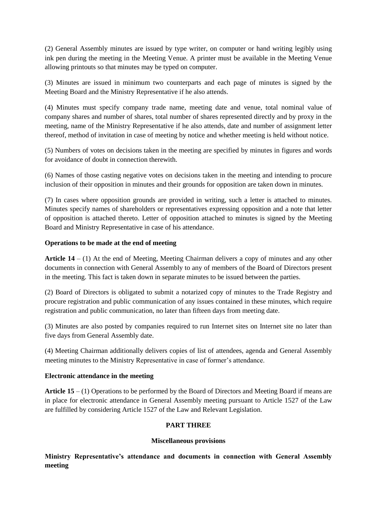(2) General Assembly minutes are issued by type writer, on computer or hand writing legibly using ink pen during the meeting in the Meeting Venue. A printer must be available in the Meeting Venue allowing printouts so that minutes may be typed on computer.

(3) Minutes are issued in minimum two counterparts and each page of minutes is signed by the Meeting Board and the Ministry Representative if he also attends.

(4) Minutes must specify company trade name, meeting date and venue, total nominal value of company shares and number of shares, total number of shares represented directly and by proxy in the meeting, name of the Ministry Representative if he also attends, date and number of assignment letter thereof, method of invitation in case of meeting by notice and whether meeting is held without notice.

(5) Numbers of votes on decisions taken in the meeting are specified by minutes in figures and words for avoidance of doubt in connection therewith.

(6) Names of those casting negative votes on decisions taken in the meeting and intending to procure inclusion of their opposition in minutes and their grounds for opposition are taken down in minutes.

(7) In cases where opposition grounds are provided in writing, such a letter is attached to minutes. Minutes specify names of shareholders or representatives expressing opposition and a note that letter of opposition is attached thereto. Letter of opposition attached to minutes is signed by the Meeting Board and Ministry Representative in case of his attendance.

## **Operations to be made at the end of meeting**

**Article 14** – (1) At the end of Meeting, Meeting Chairman delivers a copy of minutes and any other documents in connection with General Assembly to any of members of the Board of Directors present in the meeting. This fact is taken down in separate minutes to be issued between the parties.

(2) Board of Directors is obligated to submit a notarized copy of minutes to the Trade Registry and procure registration and public communication of any issues contained in these minutes, which require registration and public communication, no later than fifteen days from meeting date.

(3) Minutes are also posted by companies required to run Internet sites on Internet site no later than five days from General Assembly date.

(4) Meeting Chairman additionally delivers copies of list of attendees, agenda and General Assembly meeting minutes to the Ministry Representative in case of former's attendance.

### **Electronic attendance in the meeting**

**Article 15** – (1) Operations to be performed by the Board of Directors and Meeting Board if means are in place for electronic attendance in General Assembly meeting pursuant to Article 1527 of the Law are fulfilled by considering Article 1527 of the Law and Relevant Legislation.

## **PART THREE**

### **Miscellaneous provisions**

**Ministry Representative's attendance and documents in connection with General Assembly meeting**